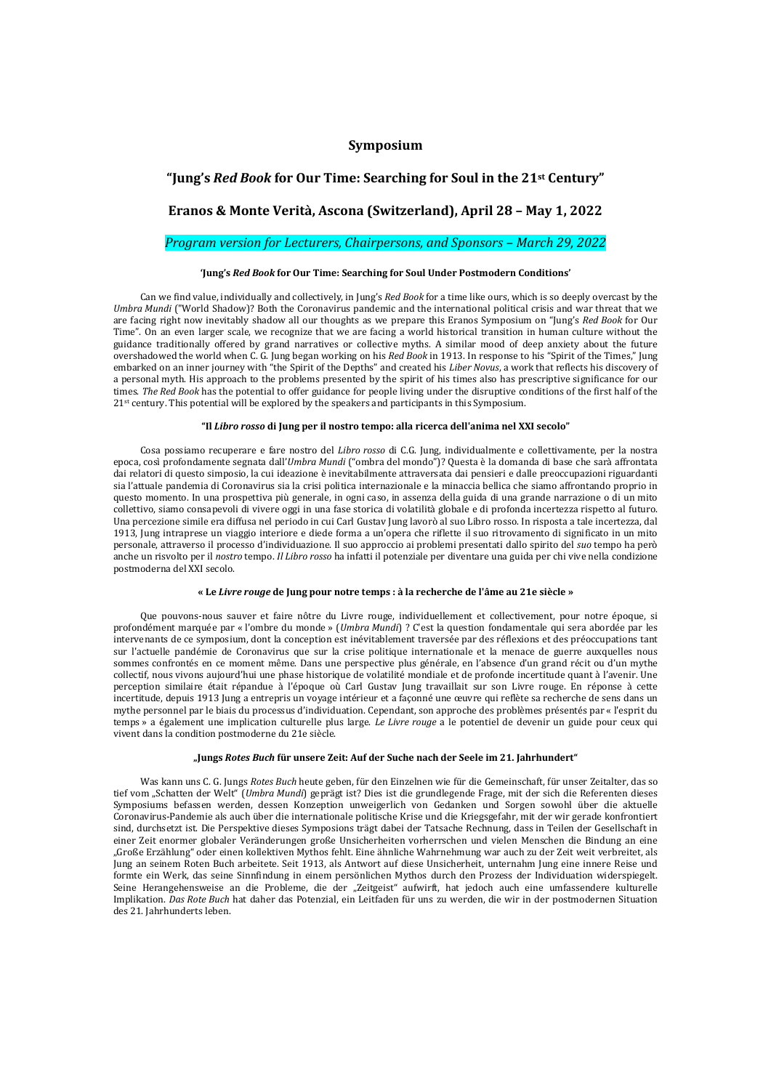## **Symposium**

## **"Jung's** *Red Book* **for Our Time: Searching for Soul in the 21st Century"**

## **Eranos & Monte Verità, Ascona (Switzerland), April 28 – May 1, 2022**

### *Program version for Lecturers, Chairpersons, and Sponsors – March 29, 2022*

### **'Jung's** *Red Book* **for Our Time: Searching for Soul Under Postmodern Conditions'**

Can we find value, individually and collectively, in Jung's *Red Book* for a time like ours, which is so deeply overcast by the *Umbra Mundi* ("World Shadow)? Both the Coronavirus pandemic and the international political crisis and war threat that we are facing right now inevitably shadow all our thoughts as we prepare this Eranos Symposium on "Jung's *Red Book* for Our Time". On an even larger scale, we recognize that we are facing a world historical transition in human culture without the guidance traditionally offered by grand narratives or collective myths. A similar mood of deep anxiety about the future overshadowed the world when C. G. Jung began working on his *Red Book* in 1913. In response to his "Spirit of the Times," Jung embarked on an inner journey with "the Spirit of the Depths" and created his *Liber Novus*, a work that reflects his discovery of a personal myth. His approach to the problems presented by the spirit of his times also has prescriptive significance for our times. *The Red Book* has the potential to offer guidance for people living under the disruptive conditions of the first half of the 21<sup>st</sup> century. This potential will be explored by the speakers and participants in this Symposium.

### **"Il** *Libro rosso* **di Jung per il nostro tempo: alla ricerca dell'anima nel XXI secolo"**

Cosa possiamo recuperare e fare nostro del *Libro rosso* di C.G. Jung, individualmente e collettivamente, per la nostra epoca, così profondamente segnata dall'*Umbra Mundi* ("ombra del mondo")? Questa è la domanda di base che sarà affrontata dai relatori di questo simposio, la cui ideazione è inevitabilmente attraversata dai pensieri e dalle preoccupazioni riguardanti sia l'attuale pandemia di Coronavirus sia la crisi politica internazionale e la minaccia bellica che siamo affrontando proprio in questo momento. In una prospettiva più generale, in ogni caso, in assenza della guida di una grande narrazione o di un mito collettivo, siamo consapevoli di vivere oggi in una fase storica di volatilità globale e di profonda incertezza rispetto al futuro. Una percezione simile era diffusa nel periodo in cui Carl Gustav Jung lavorò al suo Libro rosso. In risposta a tale incertezza, dal 1913, Jung intraprese un viaggio interiore e diede forma a un'opera che riflette il suo ritrovamento di significato in un mito personale, attraverso il processo d'individuazione. Il suo approccio ai problemi presentati dallo spirito del *suo* tempo ha però anche un risvolto per il *nostro* tempo. *Il Libro rosso* ha infatti il potenziale per diventare una guida per chi vive nella condizione postmoderna del XXI secolo.

### **« Le** *Livre rouge* **de Jung pour notre temps : à la recherche de l'âme au 21e siècle »**

Que pouvons-nous sauver et faire nôtre du Livre rouge, individuellement et collectivement, pour notre époque, si profondément marquée par « l'ombre du monde » (*Umbra Mundi*) ? C'est la question fondamentale qui sera abordée par les intervenants de ce symposium, dont la conception est inévitablement traversée par des réflexions et des préoccupations tant sur l'actuelle pandémie de Coronavirus que sur la crise politique internationale et la menace de guerre auxquelles nous sommes confrontés en ce moment même. Dans une perspective plus générale, en l'absence d'un grand récit ou d'un mythe collectif, nous vivons aujourd'hui une phase historique de volatilité mondiale et de profonde incertitude quant à l'avenir. Une perception similaire était répandue à l'époque où Carl Gustav Jung travaillait sur son Livre rouge. En réponse à cette incertitude, depuis 1913 Jung a entrepris un voyage intérieur et a façonné une œuvre qui reflète sa recherche de sens dans un mythe personnel par le biais du processus d'individuation. Cependant, son approche des problèmes présentés par « l'esprit du temps » a également une implication culturelle plus large. *Le Livre rouge* a le potentiel de devenir un guide pour ceux qui vivent dans la condition postmoderne du 21e siècle.

### **"Jungs** *Rotes Buch* **für unsere Zeit: Auf der Suche nach der Seele im 21. Jahrhundert"**

Was kann uns C. G. Jungs *Rotes Buch* heute geben, für den Einzelnen wie für die Gemeinschaft, für unser Zeitalter, das so tief vom "Schatten der Welt" (Umbra Mundi) geprägt ist? Dies ist die grundlegende Frage, mit der sich die Referenten dieses Symposiums befassen werden, dessen Konzeption unweigerlich von Gedanken und Sorgen sowohl über die aktuelle Coronavirus-Pandemie als auch über die internationale politische Krise und die Kriegsgefahr, mit der wir gerade konfrontiert sind, durchsetzt ist. Die Perspektive dieses Symposions trägt dabei der Tatsache Rechnung, dass in Teilen der Gesellschaft in einer Zeit enormer globaler Veränderungen große Unsicherheiten vorherrschen und vielen Menschen die Bindung an eine "Große Erzählung" oder einen kollektiven Mythos fehlt. Eine ähnliche Wahrnehmung war auch zu der Zeit weit verbreitet, als Jung an seinem Roten Buch arbeitete. Seit 1913, als Antwort auf diese Unsicherheit, unternahm Jung eine innere Reise und formte ein Werk, das seine Sinnfindung in einem persönlichen Mythos durch den Prozess der Individuation widerspiegelt. Seine Herangehensweise an die Probleme, die der "Zeitgeist" aufwirft, hat jedoch auch eine umfassendere kulturelle Implikation. *Das Rote Buch* hat daher das Potenzial, ein Leitfaden für uns zu werden, die wir in der postmodernen Situation des 21. Jahrhunderts leben.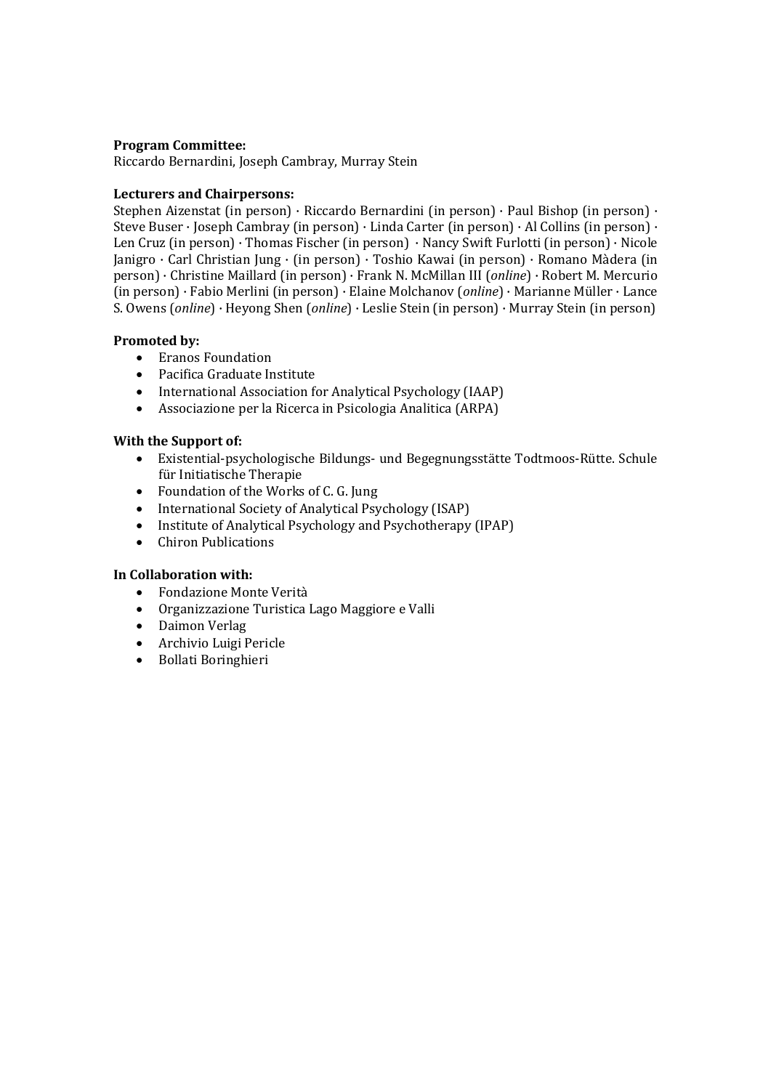## **Program Committee:**

Riccardo Bernardini, Joseph Cambray, Murray Stein

## **Lecturers and Chairpersons:**

Stephen Aizenstat (in person) · Riccardo Bernardini (in person) · Paul Bishop (in person) · Steve Buser · Joseph Cambray (in person) · Linda Carter (in person) · Al Collins (in person) · Len Cruz (in person) · Thomas Fischer (in person) · Nancy Swift Furlotti (in person) · Nicole Janigro · Carl Christian Jung · (in person) · Toshio Kawai (in person) · Romano Màdera (in person) · Christine Maillard (in person) · Frank N. McMillan III (*online*) · Robert M. Mercurio (in person) · Fabio Merlini (in person) · Elaine Molchanov (*online*) · Marianne Müller · Lance S. Owens (*online*) · Heyong Shen (*online*) · Leslie Stein (in person) · Murray Stein (in person)

## **Promoted by:**

- Eranos Foundation
- Pacifica Graduate Institute
- International Association for Analytical Psychology (IAAP)
- Associazione per la Ricerca in Psicologia Analitica (ARPA)

## **With the Support of:**

- Existential-psychologische Bildungs- und Begegnungsstätte Todtmoos-Rütte. Schule für Initiatische Therapie
- Foundation of the Works of C. G. Jung
- International Society of Analytical Psychology (ISAP)
- Institute of Analytical Psychology and Psychotherapy (IPAP)
- Chiron Publications

## **In Collaboration with:**

- Fondazione Monte Verità
- Organizzazione Turistica Lago Maggiore e Valli
- Daimon Verlag
- Archivio Luigi Pericle
- Bollati Boringhieri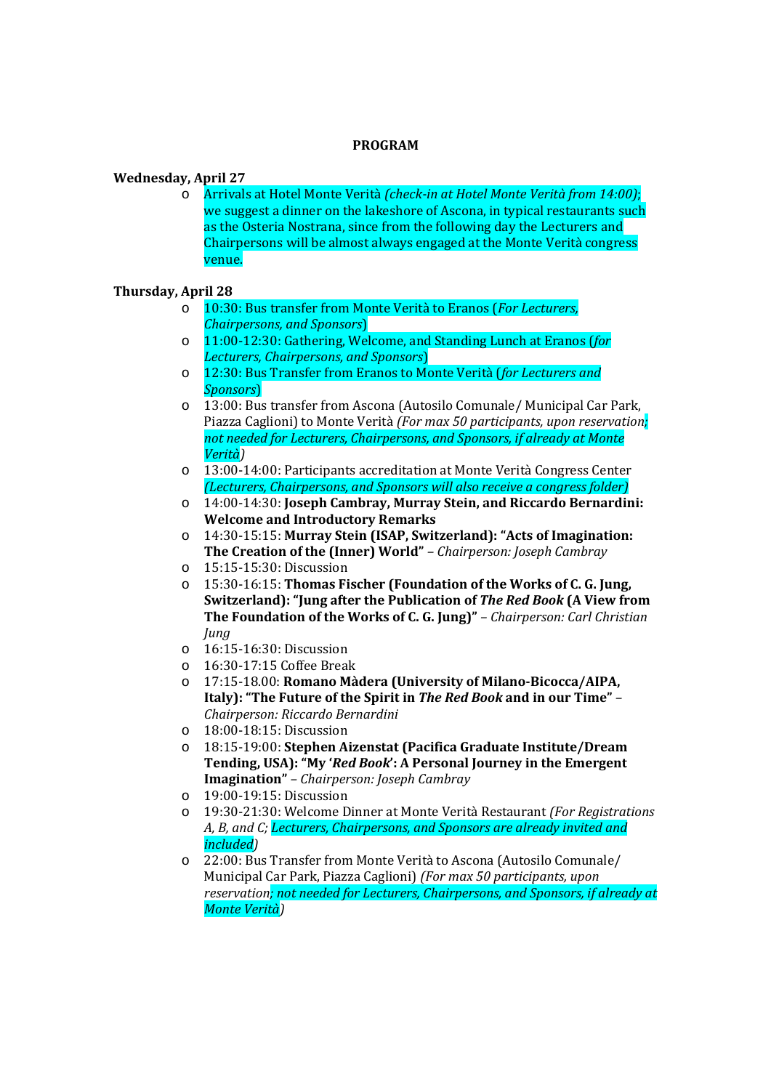## **PROGRAM**

## **Wednesday, April 27**

o Arrivals at Hotel Monte Verità *(check-in at Hotel Monte Verità from 14:00)*; we suggest a dinner on the lakeshore of Ascona, in typical restaurants such as the Osteria Nostrana, since from the following day the Lecturers and Chairpersons will be almost always engaged at the Monte Verità congress venue.

# **Thursday, April 28**

- o 10:30: Bus transfer from Monte Verità to Eranos (*For Lecturers, Chairpersons, and Sponsors*)
- o 11:00-12:30: Gathering, Welcome, and Standing Lunch at Eranos (*for Lecturers, Chairpersons, and Sponsors*)
- o 12:30: Bus Transfer from Eranos to Monte Verità (*for Lecturers and Sponsors*)
- o 13:00: Bus transfer from Ascona (Autosilo Comunale/ Municipal Car Park, Piazza Caglioni) to Monte Verità *(For max 50 participants, upon reservation; not needed for Lecturers, Chairpersons, and Sponsors, if already at Monte Verità)*
- o 13:00-14:00: Participants accreditation at Monte Verità Congress Center *(Lecturers, Chairpersons, and Sponsors will also receive a congress folder)*
- o 14:00-14:30: **Joseph Cambray, Murray Stein, and Riccardo Bernardini: Welcome and Introductory Remarks**
- o 14:30-15:15: **Murray Stein (ISAP, Switzerland): "Acts of Imagination: The Creation of the (Inner) World"** *– Chairperson: Joseph Cambray*
- o 15:15-15:30: Discussion
- o 15:30-16:15: **Thomas Fischer (Foundation of the Works of C. G. Jung, Switzerland): "Jung after the Publication of** *The Red Book* **(A View from The Foundation of the Works of C. G. Jung)"** *– Chairperson: Carl Christian Jung*
- o 16:15-16:30: Discussion
- o 16:30-17:15 Coffee Break
- o 17:15-18.00: **Romano Màdera (University of Milano-Bicocca/AIPA, Italy): "The Future of the Spirit in** *The Red Book* **and in our Time"** *– Chairperson: Riccardo Bernardini*
- o 18:00-18:15: Discussion
- o 18:15-19:00: **Stephen Aizenstat (Pacifica Graduate Institute/Dream Tending, USA): "My '***Red Book***': A Personal Journey in the Emergent Imagination"** *– Chairperson: Joseph Cambray*
- o 19:00-19:15: Discussion
- o 19:30-21:30: Welcome Dinner at Monte Verità Restaurant *(For Registrations A, B, and C; Lecturers, Chairpersons, and Sponsors are already invited and included)*
- o 22:00: Bus Transfer from Monte Verità to Ascona (Autosilo Comunale/ Municipal Car Park, Piazza Caglioni) *(For max 50 participants, upon reservation; not needed for Lecturers, Chairpersons, and Sponsors, if already at Monte Verità)*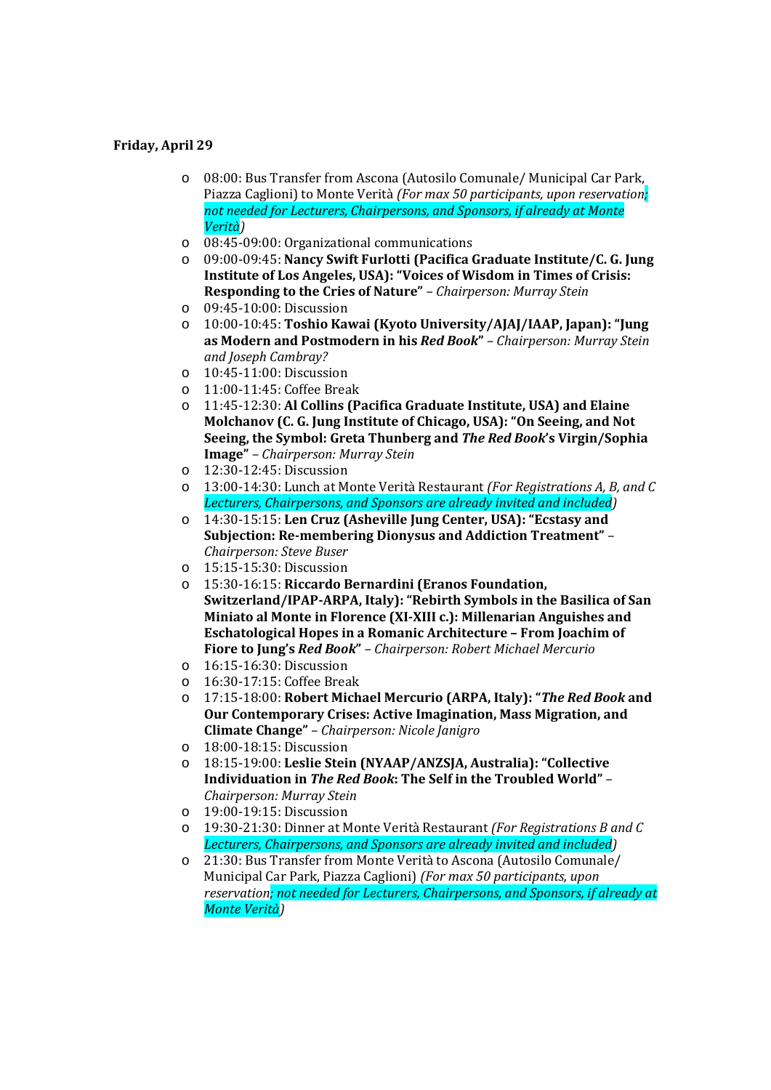## **Friday, April 29**

- o 08:00: Bus Transfer from Ascona (Autosilo Comunale/ Municipal Car Park, Piazza Caglioni) to Monte Verità *(For max 50 participants, upon reservation; not needed for Lecturers, Chairpersons, and Sponsors, if already at Monte Verità)*
- o 08:45-09:00: Organizational communications
- o 09:00-09:45: **Nancy Swift Furlotti (Pacifica Graduate Institute/C. G. Jung Institute of Los Angeles, USA): "Voices of Wisdom in Times of Crisis: Responding to the Cries of Nature"** *– Chairperson: Murray Stein*
- o 09:45-10:00: Discussion
- o 10:00-10:45: **Toshio Kawai (Kyoto University/AJAJ/IAAP, Japan): "Jung as Modern and Postmodern in his** *Red Book***"** *– Chairperson: Murray Stein and Joseph Cambray?*
- o 10:45-11:00: Discussion
- o 11:00-11:45: Coffee Break
- o 11:45-12:30: **Al Collins (Pacifica Graduate Institute, USA) and Elaine Molchanov (C. G. Jung Institute of Chicago, USA): "On Seeing, and Not Seeing, the Symbol: Greta Thunberg and** *The Red Book***'s Virgin/Sophia Image"** *– Chairperson: Murray Stein*
- o 12:30-12:45: Discussion
- o 13:00-14:30: Lunch at Monte Verità Restaurant *(For Registrations A, B, and C Lecturers, Chairpersons, and Sponsors are already invited and included)*
- o 14:30-15:15: **Len Cruz (Asheville Jung Center, USA): "Ecstasy and Subjection: Re-membering Dionysus and Addiction Treatment"** *– Chairperson: Steve Buser*
- o 15:15-15:30: Discussion
- o 15:30-16:15: **Riccardo Bernardini (Eranos Foundation, Switzerland/IPAP-ARPA, Italy): "Rebirth Symbols in the Basilica of San Miniato al Monte in Florence (XI-XIII c.): Millenarian Anguishes and Eschatological Hopes in a Romanic Architecture – From Joachim of Fiore to Jung's** *Red Book***"** *– Chairperson: Robert Michael Mercurio*
- o 16:15-16:30: Discussion
- o 16:30-17:15: Coffee Break
- o 17:15-18:00: **Robert Michael Mercurio (ARPA, Italy): "***The Red Book* **and Our Contemporary Crises: Active Imagination, Mass Migration, and Climate Change"** *– Chairperson: Nicole Janigro*
- o 18:00-18:15: Discussion
- o 18:15-19:00: **Leslie Stein (NYAAP/ANZSJA, Australia): "Collective Individuation in** *The Red Book***: The Self in the Troubled World"** *– Chairperson: Murray Stein*
- o 19:00-19:15: Discussion
- o 19:30-21:30: Dinner at Monte Verità Restaurant *(For Registrations B and C Lecturers, Chairpersons, and Sponsors are already invited and included)*
- o 21:30: Bus Transfer from Monte Verità to Ascona (Autosilo Comunale/ Municipal Car Park, Piazza Caglioni) *(For max 50 participants, upon reservation; not needed for Lecturers, Chairpersons, and Sponsors, if already at Monte Verità)*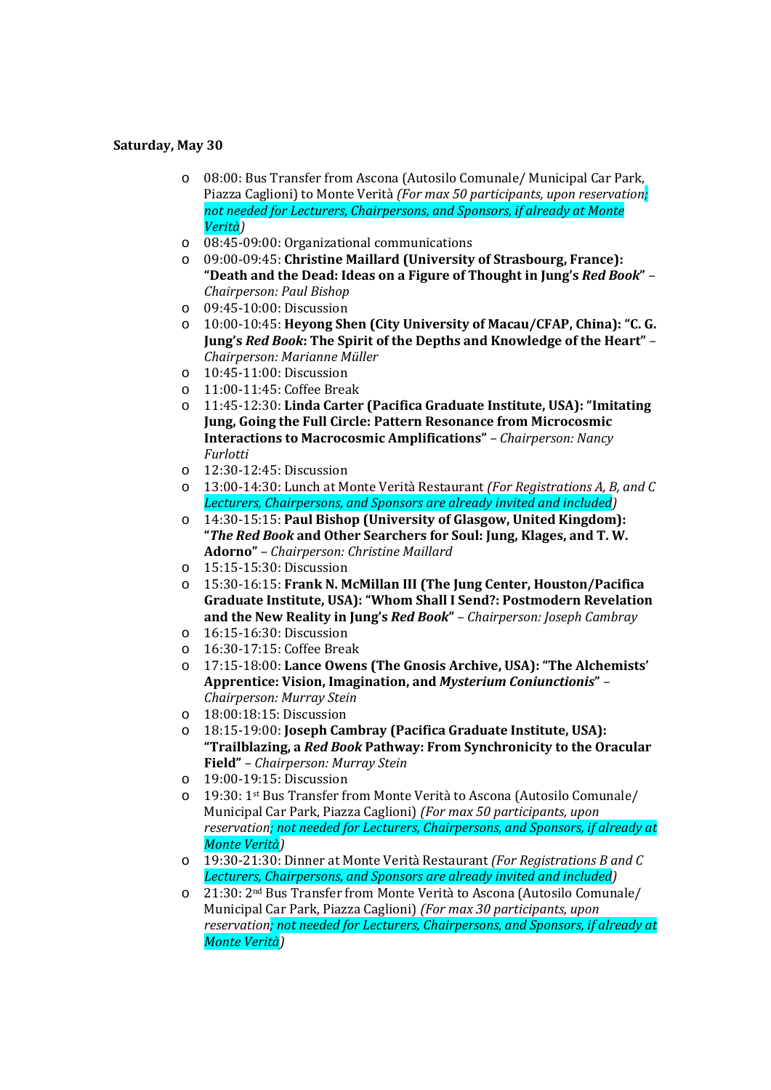## **Saturday, May 30**

- o 08:00: Bus Transfer from Ascona (Autosilo Comunale/ Municipal Car Park, Piazza Caglioni) to Monte Verità *(For max 50 participants, upon reservation; not needed for Lecturers, Chairpersons, and Sponsors, if already at Monte Verità)*
- o 08:45-09:00: Organizational communications
- o 09:00-09:45: **Christine Maillard (University of Strasbourg, France): "Death and the Dead: Ideas on a Figure of Thought in Jung's** *Red Book***"** *– Chairperson: Paul Bishop*
- o 09:45-10:00: Discussion
- o 10:00-10:45: **Heyong Shen (City University of Macau/CFAP, China): "C. G. Jung's** *Red Book***: The Spirit of the Depths and Knowledge of the Heart"** *– Chairperson: Marianne Müller*
- o 10:45-11:00: Discussion
- o 11:00-11:45: Coffee Break
- o 11:45-12:30: **Linda Carter (Pacifica Graduate Institute, USA): "Imitating Jung, Going the Full Circle: Pattern Resonance from Microcosmic Interactions to Macrocosmic Amplifications"** *– Chairperson: Nancy Furlotti*
- o 12:30-12:45: Discussion
- o 13:00-14:30: Lunch at Monte Verità Restaurant *(For Registrations A, B, and C Lecturers, Chairpersons, and Sponsors are already invited and included)*
- o 14:30-15:15: **Paul Bishop (University of Glasgow, United Kingdom): "***The Red Book* **and Other Searchers for Soul: Jung, Klages, and T. W. Adorno"** *– Chairperson: Christine Maillard*
- o 15:15-15:30: Discussion
- o 15:30-16:15: **Frank N. McMillan III (The Jung Center, Houston/Pacifica Graduate Institute, USA): "Whom Shall I Send?: Postmodern Revelation and the New Reality in Jung's** *Red Book***"** *– Chairperson: Joseph Cambray*
- o 16:15-16:30: Discussion
- o 16:30-17:15: Coffee Break
- o 17:15-18:00: **Lance Owens (The Gnosis Archive, USA): "The Alchemists' Apprentice: Vision, Imagination, and** *Mysterium Coniunctionis***"** *– Chairperson: Murray Stein*
- o 18:00:18:15: Discussion
- o 18:15-19:00: **Joseph Cambray (Pacifica Graduate Institute, USA): "Trailblazing, a** *Red Book* **Pathway: From Synchronicity to the Oracular Field"** *– Chairperson: Murray Stein*
- o 19:00-19:15: Discussion
- o 19:30: 1st Bus Transfer from Monte Verità to Ascona (Autosilo Comunale/ Municipal Car Park, Piazza Caglioni) *(For max 50 participants, upon reservation; not needed for Lecturers, Chairpersons, and Sponsors, if already at Monte Verità)*
- o 19:30-21:30: Dinner at Monte Verità Restaurant *(For Registrations B and C Lecturers, Chairpersons, and Sponsors are already invited and included)*
- o 21:30: 2nd Bus Transfer from Monte Verità to Ascona (Autosilo Comunale/ Municipal Car Park, Piazza Caglioni) *(For max 30 participants, upon reservation; not needed for Lecturers, Chairpersons, and Sponsors, if already at Monte Verità)*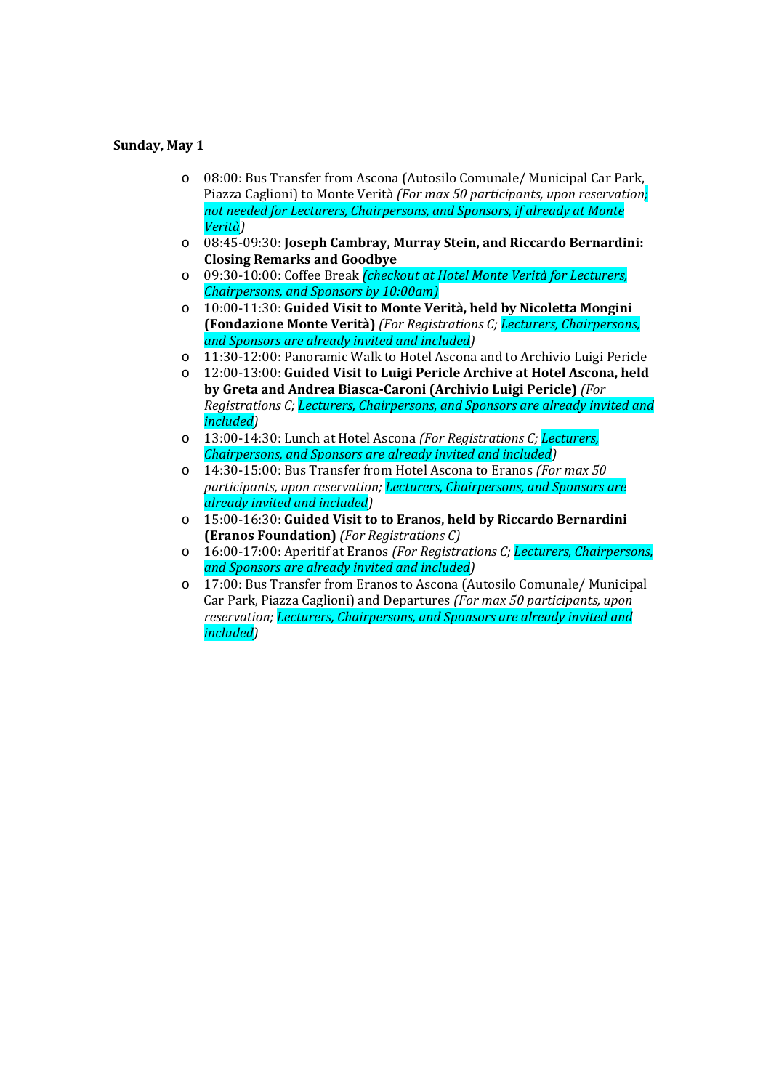## **Sunday, May 1**

- o 08:00: Bus Transfer from Ascona (Autosilo Comunale/ Municipal Car Park, Piazza Caglioni) to Monte Verità *(For max 50 participants, upon reservation; not needed for Lecturers, Chairpersons, and Sponsors, if already at Monte Verità)*
- o 08:45-09:30: **Joseph Cambray, Murray Stein, and Riccardo Bernardini: Closing Remarks and Goodbye**
- o 09:30-10:00: Coffee Break *(checkout at Hotel Monte Verità for Lecturers, Chairpersons, and Sponsors by 10:00am)*
- o 10:00-11:30: **Guided Visit to Monte Verità, held by Nicoletta Mongini (Fondazione Monte Verità)** *(For Registrations C; Lecturers, Chairpersons, and Sponsors are already invited and included)*
- o 11:30-12:00: Panoramic Walk to Hotel Ascona and to Archivio Luigi Pericle
- o 12:00-13:00: **Guided Visit to Luigi Pericle Archive at Hotel Ascona, held by Greta and Andrea Biasca-Caroni (Archivio Luigi Pericle)** *(For Registrations C; Lecturers, Chairpersons, and Sponsors are already invited and included)*
- o 13:00-14:30: Lunch at Hotel Ascona *(For Registrations C; Lecturers, Chairpersons, and Sponsors are already invited and included)*
- o 14:30-15:00: Bus Transfer from Hotel Ascona to Eranos *(For max 50 participants, upon reservation; Lecturers, Chairpersons, and Sponsors are already invited and included)*
- o 15:00-16:30: **Guided Visit to to Eranos, held by Riccardo Bernardini (Eranos Foundation)** *(For Registrations C)*
- o 16:00-17:00: Aperitif at Eranos *(For Registrations C; Lecturers, Chairpersons, and Sponsors are already invited and included)*
- o 17:00: Bus Transfer from Eranos to Ascona (Autosilo Comunale/ Municipal Car Park, Piazza Caglioni) and Departures *(For max 50 participants, upon reservation; Lecturers, Chairpersons, and Sponsors are already invited and included)*